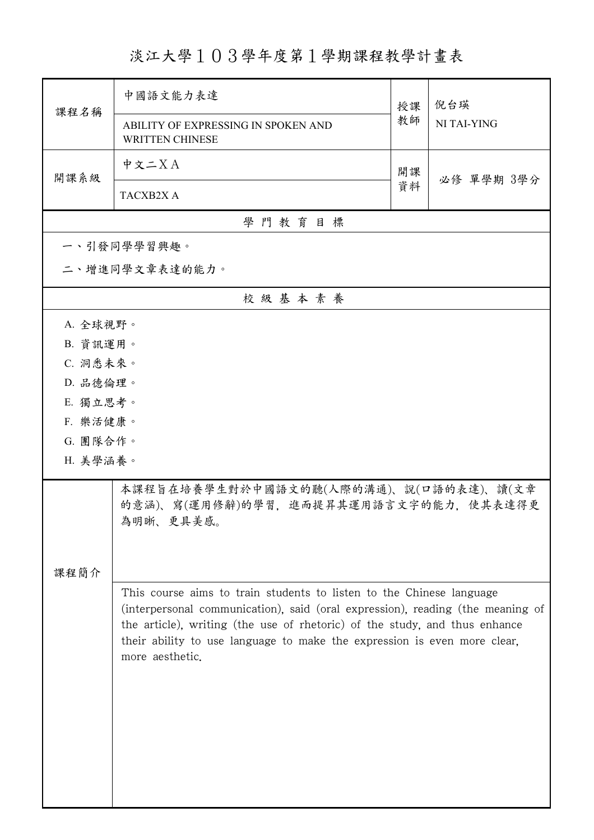淡江大學103學年度第1學期課程教學計畫表

|                                                                                                                                                                                                                                                                                                                                     | 中國語文能力表達                                                                                     | 授課       | 倪台瑛<br>NI TAI-YING |  |
|-------------------------------------------------------------------------------------------------------------------------------------------------------------------------------------------------------------------------------------------------------------------------------------------------------------------------------------|----------------------------------------------------------------------------------------------|----------|--------------------|--|
| 課程名稱                                                                                                                                                                                                                                                                                                                                | ABILITY OF EXPRESSING IN SPOKEN AND<br><b>WRITTEN CHINESE</b>                                | 教師       |                    |  |
| 開課系級                                                                                                                                                                                                                                                                                                                                | 中文二XA                                                                                        | 開課<br>資料 |                    |  |
|                                                                                                                                                                                                                                                                                                                                     | TACXB2X A                                                                                    |          | 必修 單學期 3學分         |  |
|                                                                                                                                                                                                                                                                                                                                     | 學門教育目標                                                                                       |          |                    |  |
|                                                                                                                                                                                                                                                                                                                                     | 一、引發同學學習興趣。                                                                                  |          |                    |  |
|                                                                                                                                                                                                                                                                                                                                     | 二、增進同學文章表達的能力。                                                                               |          |                    |  |
| 校級基本素養                                                                                                                                                                                                                                                                                                                              |                                                                                              |          |                    |  |
| A. 全球視野。                                                                                                                                                                                                                                                                                                                            |                                                                                              |          |                    |  |
| B. 資訊運用。                                                                                                                                                                                                                                                                                                                            |                                                                                              |          |                    |  |
|                                                                                                                                                                                                                                                                                                                                     | C. 洞悉未來。                                                                                     |          |                    |  |
| D. 品德倫理。                                                                                                                                                                                                                                                                                                                            |                                                                                              |          |                    |  |
| E. 獨立思考。                                                                                                                                                                                                                                                                                                                            |                                                                                              |          |                    |  |
| F. 樂活健康。                                                                                                                                                                                                                                                                                                                            |                                                                                              |          |                    |  |
| G. 團隊合作。                                                                                                                                                                                                                                                                                                                            |                                                                                              |          |                    |  |
| H. 美學涵養。                                                                                                                                                                                                                                                                                                                            |                                                                                              |          |                    |  |
|                                                                                                                                                                                                                                                                                                                                     | 本課程旨在培養學生對於中國語文的聽(人際的溝通)、說(口語的表達)、讀(文章<br>的意涵)、寫(運用修辭)的學習,進而提昇其運用語言文字的能力,使其表達得更<br>為明晰、更具美感。 |          |                    |  |
|                                                                                                                                                                                                                                                                                                                                     |                                                                                              |          |                    |  |
| 課程簡介                                                                                                                                                                                                                                                                                                                                |                                                                                              |          |                    |  |
| This course aims to train students to listen to the Chinese language<br>(interpersonal communication), said (oral expression), reading (the meaning of<br>the article), writing (the use of rhetoric) of the study, and thus enhance<br>their ability to use language to make the expression is even more clear,<br>more aesthetic. |                                                                                              |          |                    |  |
|                                                                                                                                                                                                                                                                                                                                     |                                                                                              |          |                    |  |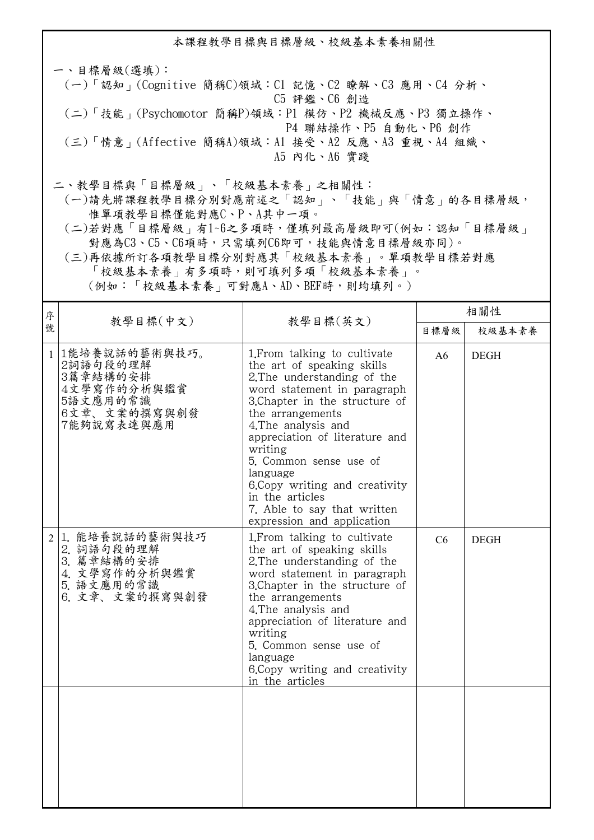本課程教學目標與目標層級、校級基本素養相關性 一、目標層級(選填): (一)「認知」(Cognitive 簡稱C)領域:C1 記憶、C2 瞭解、C3 應用、C4 分析、 C5 評鑑、C6 創造 (二)「技能」(Psychomotor 簡稱P)領域:P1 模仿、P2 機械反應、P3 獨立操作、 P4 聯結操作、P5 自動化、P6 創作 (三)「情意」(Affective 簡稱A)領域:A1 接受、A2 反應、A3 重視、A4 組織、 A5 內化、A6 實踐 二、教學目標與「目標層級」、「校級基本素養」之相關性:

 (一)請先將課程教學目標分別對應前述之「認知」、「技能」與「情意」的各目標層級, 惟單項教學目標僅能對應C、P、A其中一項。

 (二)若對應「目標層級」有1~6之多項時,僅填列最高層級即可(例如:認知「目標層級」 對應為C3、C5、C6項時,只需填列C6即可,技能與情意目標層級亦同)。

 (三)再依據所訂各項教學目標分別對應其「校級基本素養」。單項教學目標若對應 「校級基本素養」有多項時,則可填列多項「校級基本素養」。

(例如:「校級基本素養」可對應A、AD、BEF時,則均填列。)

| 序            | 教學目標(中文)                                                                                       | 教學目標(英文)                                                                                                                                                                                                                                                                                                                                                                                                  | 相關性  |             |
|--------------|------------------------------------------------------------------------------------------------|-----------------------------------------------------------------------------------------------------------------------------------------------------------------------------------------------------------------------------------------------------------------------------------------------------------------------------------------------------------------------------------------------------------|------|-------------|
| 號            |                                                                                                |                                                                                                                                                                                                                                                                                                                                                                                                           | 目標層級 | 校級基本素養      |
| $\mathbf{1}$ | 1能培養說話的藝術與技巧。<br>2詞語句段的理解<br>3篇章結構的安排<br>4文學寫作的分析與鑑賞<br>5語文應用的常識<br>6文章、文案的撰寫與創發<br>7能夠說寫表達與應用 | 1. From talking to cultivate<br>the art of speaking skills<br>2. The understanding of the<br>word statement in paragraph<br>3. Chapter in the structure of<br>the arrangements<br>4. The analysis and<br>appreciation of literature and<br>writing<br>5. Common sense use of<br>language<br>6.Copy writing and creativity<br>in the articles<br>7. Able to say that written<br>expression and application | A6   | <b>DEGH</b> |
| 2            | 1. 能培養說話的藝術與技巧<br>2. 詞語句段的理解<br>3. 篇章結構的安排<br>4. 文學寫作的分析與鑑賞<br>5. 語文應用的常識<br>6. 文章、文案的撰寫與創發    | 1. From talking to cultivate<br>the art of speaking skills<br>2. The understanding of the<br>word statement in paragraph<br>3. Chapter in the structure of<br>the arrangements<br>4. The analysis and<br>appreciation of literature and<br>writing<br>5. Common sense use of<br>language<br>6. Copy writing and creativity<br>in the articles                                                             | C6   | <b>DEGH</b> |
|              |                                                                                                |                                                                                                                                                                                                                                                                                                                                                                                                           |      |             |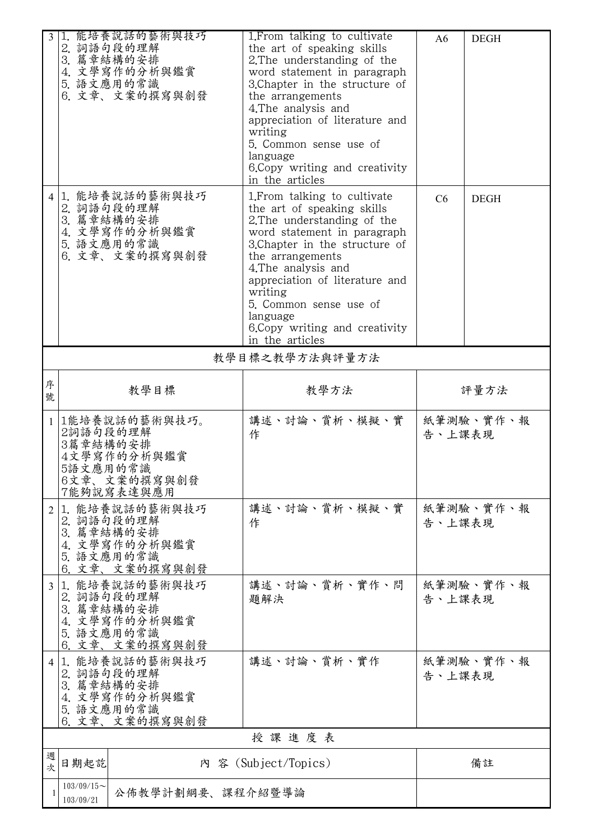|        | 1. 能培養說話的藝術與技巧                    |                                                            |        |             |
|--------|-----------------------------------|------------------------------------------------------------|--------|-------------|
|        | 2. 詞語句段的理解                        | 1. From talking to cultivate<br>the art of speaking skills | A6     | <b>DEGH</b> |
|        | 3. 篇章結構的安排                        | 2. The understanding of the                                |        |             |
|        | 4. 文學寫作的分析與鑑賞                     | word statement in paragraph                                |        |             |
|        | 5. 語文應用的常識                        | 3. Chapter in the structure of                             |        |             |
|        | 6. 文章、文案的撰寫與創發                    | the arrangements                                           |        |             |
|        |                                   | 4. The analysis and                                        |        |             |
|        |                                   | appreciation of literature and                             |        |             |
|        |                                   | writing                                                    |        |             |
|        |                                   | 5. Common sense use of                                     |        |             |
|        |                                   | language                                                   |        |             |
|        |                                   | 6. Copy writing and creativity                             |        |             |
|        |                                   | in the articles                                            |        |             |
|        | 41.能培養說話的藝術與技巧                    | 1. From talking to cultivate                               | C6     | <b>DEGH</b> |
|        | 2. 詞語句段的理解                        | the art of speaking skills                                 |        |             |
|        | 3. 篇章結構的安排                        | 2. The understanding of the                                |        |             |
|        | 4. 文學寫作的分析與鑑賞                     | word statement in paragraph                                |        |             |
|        | 5. 語文應用的常識                        | 3. Chapter in the structure of                             |        |             |
|        | 6. 文章、文案的撰寫與創發                    | the arrangements                                           |        |             |
|        |                                   | 4. The analysis and                                        |        |             |
|        |                                   | appreciation of literature and                             |        |             |
|        |                                   | writing                                                    |        |             |
|        |                                   | 5. Common sense use of                                     |        |             |
|        |                                   | language                                                   |        |             |
|        |                                   | 6. Copy writing and creativity<br>in the articles          |        |             |
|        |                                   |                                                            |        |             |
|        |                                   | 教學目標之教學方法與評量方法                                             |        |             |
| 序      |                                   |                                                            |        |             |
| 號      | 教學目標                              | 教學方法                                                       |        | 評量方法        |
|        |                                   |                                                            |        |             |
|        | 1能培養說話的藝術與技巧。                     | 講述、討論、賞析、模擬、實                                              |        | 紙筆測驗、實作、報   |
|        |                                   |                                                            |        |             |
|        | 2詞語句段的理解                          | 作                                                          | 告、上課表現 |             |
|        | 3篇章結構的安排                          |                                                            |        |             |
|        | 4文學寫作的分析與鑑賞                       |                                                            |        |             |
|        | 5語文應用的常識                          |                                                            |        |             |
|        | 6文章、文案的撰寫與創發<br>7能夠說寫表達與應用        |                                                            |        |             |
|        |                                   |                                                            |        |             |
| 2      | 1. 能培養說話的藝術與技巧                    | 講述、討論、賞析、模擬、實                                              |        | 紙筆測驗、實作、報   |
|        | 2. 詞語句段的理解                        | 作                                                          | 告、上課表現 |             |
|        | 3. 篇章結構的安排<br>4. 文學寫作的分析與鑑賞       |                                                            |        |             |
|        | 5. 語文應用的常識                        |                                                            |        |             |
|        | 6. 文章、文案的撰寫與創發                    |                                                            |        |             |
|        | 1. 能培養說話的藝術與技巧                    | 講述、討論、賞析、實作、問                                              |        | 紙筆測驗、實作、報   |
|        | 2. 詞語句段的理解                        | 題解決                                                        | 告、上課表現 |             |
|        | 3. 篇章結構的安排                        |                                                            |        |             |
|        | 4. 文學寫作的分析與鑑賞                     |                                                            |        |             |
|        | 5. 語文應用的常識                        |                                                            |        |             |
|        | 6. 文章、文案的撰寫與創發                    |                                                            |        |             |
| 4      | 1. 能培養說話的藝術與技巧                    | 講述、討論、賞析、實作                                                |        | 紙筆測驗、實作、報   |
|        | 2. 詞語句段的理解                        |                                                            | 告、上課表現 |             |
|        | 3. 篇章結構的安排                        |                                                            |        |             |
|        | 4. 文學寫作的分析與鑑賞                     |                                                            |        |             |
|        | 5. 語文應用的常識                        |                                                            |        |             |
|        | 6. 文章、文案的撰寫與創發                    | 授課進度表                                                      |        |             |
|        |                                   |                                                            |        |             |
| 週<br>次 | 日期起訖                              | 內 容 (Subject/Topics)                                       |        | 備註          |
|        | $103/09/15$ ~<br>公佈教學計劃綱要、課程介紹暨導論 |                                                            |        |             |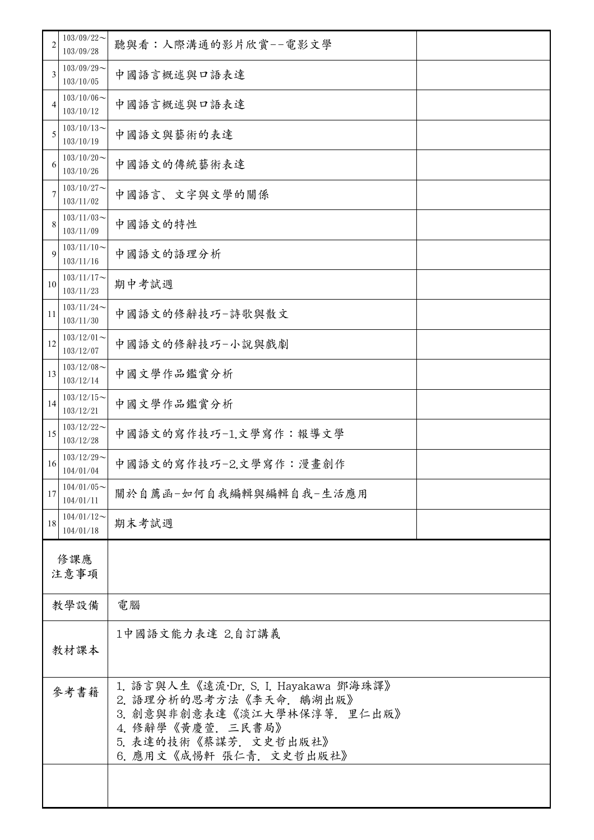| 2  | $103/09/22$ ~<br>103/09/28    | 聽與看:人際溝通的影片欣賞--電影文學                                                                                                                                                     |  |
|----|-------------------------------|-------------------------------------------------------------------------------------------------------------------------------------------------------------------------|--|
| 3  | $103/09/29$ ~<br>103/10/05    | 中國語言概述與口語表達                                                                                                                                                             |  |
| 4  | $103/10/06 \sim$<br>103/10/12 | 中國語言概述與口語表達                                                                                                                                                             |  |
| 5  | $103/10/13$ ~<br>103/10/19    | 中國語文與藝術的表達                                                                                                                                                              |  |
| 6  | $103/10/20$ ~<br>103/10/26    | 中國語文的傳統藝術表達                                                                                                                                                             |  |
| 7  | $103/10/27$ ~<br>103/11/02    | 中國語言、文字與文學的關係                                                                                                                                                           |  |
| 8  | $103/11/03$ ~<br>103/11/09    | 中國語文的特性                                                                                                                                                                 |  |
| 9  | $103/11/10$ ~<br>103/11/16    | 中國語文的語理分析                                                                                                                                                               |  |
| 10 | $103/11/17$ ~<br>103/11/23    | 期中考試週                                                                                                                                                                   |  |
| 11 | $103/11/24$ ~<br>103/11/30    | 中國語文的修辭技巧-詩歌與散文                                                                                                                                                         |  |
| 12 | $103/12/01$ ~<br>103/12/07    | 中國語文的修辭技巧-小說與戲劇                                                                                                                                                         |  |
| 13 | $103/12/08$ ~<br>103/12/14    | 中國文學作品鑑賞分析                                                                                                                                                              |  |
| 14 | $103/12/15$ ~<br>103/12/21    | 中國文學作品鑑賞分析                                                                                                                                                              |  |
| 15 | $103/12/22$ ~<br>103/12/28    | 中國語文的寫作技巧-1.文學寫作:報導文學                                                                                                                                                   |  |
| 16 | $103/12/29$ ~<br>104/01/04    | 中國語文的寫作技巧-2.文學寫作:漫畫創作                                                                                                                                                   |  |
| 17 | $104/01/05$ ~<br>104/01/11    | 關於自薦函-如何自我編輯與編輯自我-生活應用                                                                                                                                                  |  |
| 18 | $104/01/12$ ~<br>104/01/18    | 期末考試週                                                                                                                                                                   |  |
|    | 修課應                           |                                                                                                                                                                         |  |
|    | 注意事項                          |                                                                                                                                                                         |  |
|    | 教學設備                          | 電腦                                                                                                                                                                      |  |
|    | 教材課本                          | 1中國語文能力表達 2.自訂講義                                                                                                                                                        |  |
|    |                               |                                                                                                                                                                         |  |
|    | 參考書籍                          | 1. 語言與人生《遠流·Dr. S. I. Hayakawa 鄧海珠譯》<br>2. 語理分析的思考方法《李天命. 鵝湖出版》<br>3. 創意與非創意表達《淡江大學林保淳等. 里仁出版》<br>4. 修辭學《黃慶萱. 三民書局》<br>5. 表達的技術《蔡謀芳. 文史哲出版社》<br>6. 應用文《成惕軒 張仁青. 文史哲出版社》 |  |
|    |                               |                                                                                                                                                                         |  |